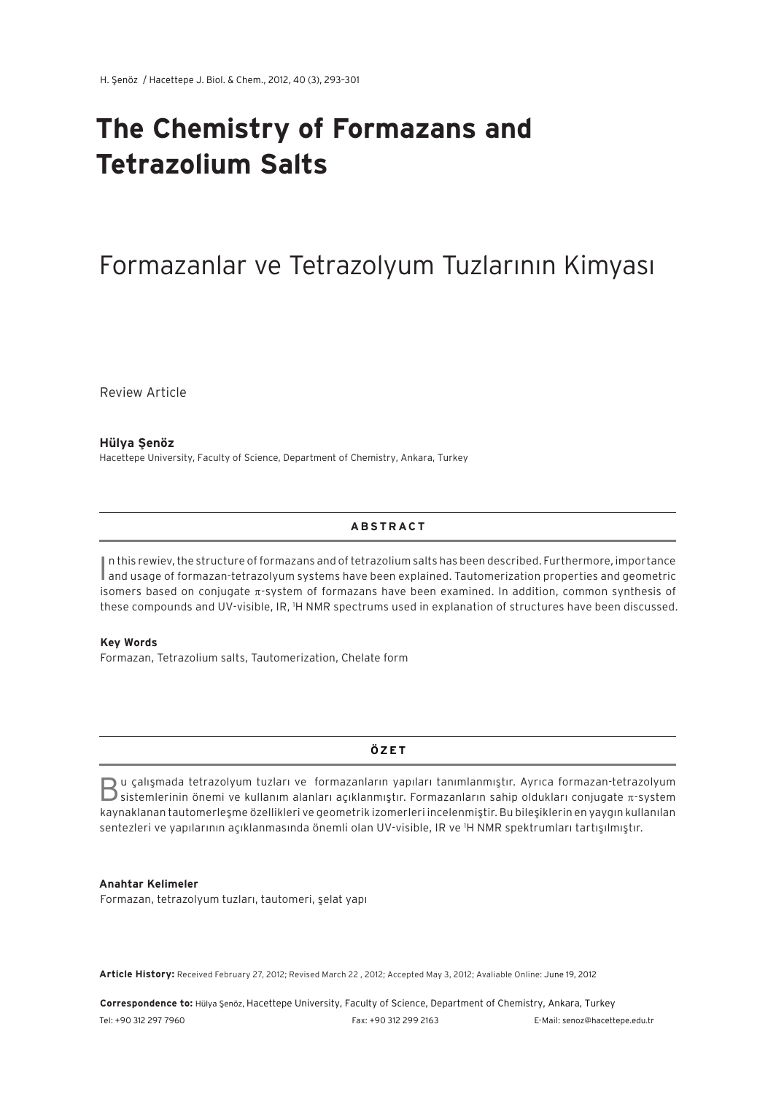# **The Chemistry of Formazans and Tetrazolium Salts**

## Formazanlar ve Tetrazolyum Tuzlarının Kimyası

Review Article

**Hülya Şenöz** Hacettepe University, Faculty of Science, Department of Chemistry, Ankara, Turkey

#### **A B S T R AC T**

In this rewiev, the structure of formazans and of tetrazolium salts has been described. Furthermore, importance<br>In and usage of formazan-tetrazolyum systems have been explained. Tautomerization properties and geometric n this rewiev, the structure of formazans and of tetrazolium salts has been described. Furthermore, importance isomers based on conjugate  $\pi$ -system of formazans have been examined. In addition, common synthesis of these compounds and UV-visible, IR, 1 H NMR spectrums used in explanation of structures have been discussed.

#### **Key Words**

Formazan, Tetrazolium salts, Tautomerization, Chelate form

#### **ÖZ E T**

Bu çalışmada tetrazolyum tuzları ve formazanların yapıları tanımlanmıştır. Ayrıca formazan-tetrazolyum sistemlerinin önemi ve kullanım alanları açıklanmıştır. Formazanların sahip oldukları conjugate p-system kaynaklanan tautomerleşme özellikleri ve geometrik izomerleri incelenmiştir. Bu bileşiklerin en yaygın kullanılan sentezleri ve yapılarının açıklanmasında önemli olan UV-visible, IR ve 1 H NMR spektrumları tartışılmıştır.

#### **Anahtar Kelimeler**

Formazan, tetrazolyum tuzları, tautomeri, şelat yapı

**Article History:** Received February 27, 2012; Revised March 22 , 2012; Accepted May 3, 2012; Avaliable Online: June 19, 2012

**Correspondence to:** Hülya Şenöz, Hacettepe University, Faculty of Science, Department of Chemistry, Ankara, Turkey Tel: +90 312 297 7960 Fax: +90 312 299 2163 E-Mail: senoz@hacettepe.edu.tr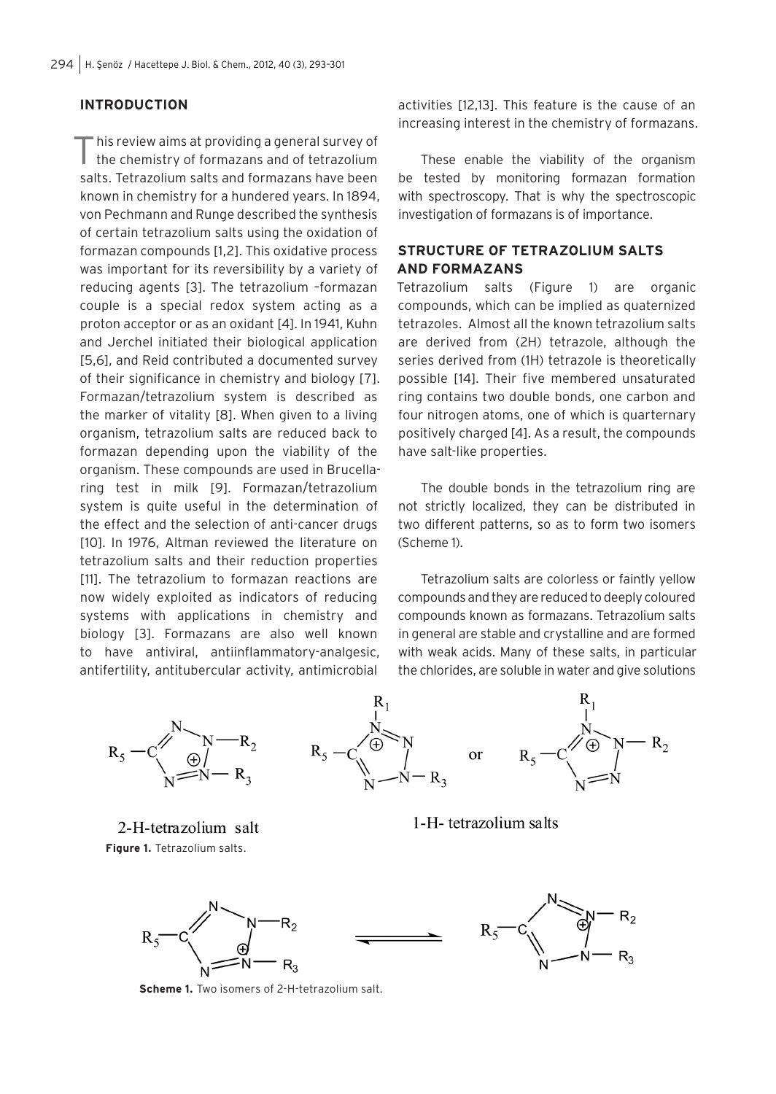## **INTRODUCTION**

This review aims at providing a general survey of the chemistry of formazans and of tetrazolium salts. Tetrazolium salts and formazans have been known in chemistry for a hundered years. In 1894, von Pechmann and Runge described the synthesis of certain tetrazolium salts using the oxidation of formazan compounds [1,2]. This oxidative process was important for its reversibility by a variety of reducing agents [3]. The tetrazolium –formazan couple is a special redox system acting as a proton acceptor or as an oxidant [4]. In 1941, Kuhn and Jerchel initiated their biological application [5,6], and Reid contributed a documented survey of their significance in chemistry and biology [7]. Formazan/tetrazolium system is described as the marker of vitality [8]. When given to a living organism, tetrazolium salts are reduced back to formazan depending upon the viability of the organism. These compounds are used in Brucellaring test in milk [9]. Formazan/tetrazolium system is quite useful in the determination of the effect and the selection of anti-cancer drugs [10]. In 1976, Altman reviewed the literature on tetrazolium salts and their reduction properties [11]. The tetrazolium to formazan reactions are now widely exploited as indicators of reducing systems with applications in chemistry and biology [3]. Formazans are also well known to have antiviral, antiinflammatory-analgesic, antifertility, antitubercular activity, antimicrobial

activities [12,13]. This feature is the cause of an increasing interest in the chemistry of formazans.

These enable the viability of the organism be tested by monitoring formazan formation with spectroscopy. That is why the spectroscopic investigation of formazans is of importance.

#### **STRUCTURE OF TETRAZOLIUM SALTS AND FORMAZANS**

Tetrazolium salts (Figure 1) are organic compounds, which can be implied as quaternized tetrazoles. Almost all the known tetrazolium salts are derived from (2H) tetrazole, although the series derived from (1H) tetrazole is theoretically possible [14]. Their five membered unsaturated ring contains two double bonds, one carbon and four nitrogen atoms, one of which is quarternary positively charged [4]. As a result, the compounds have salt-like properties.

The double bonds in the tetrazolium ring are not strictly localized, they can be distributed in two different patterns, so as to form two isomers (Scheme 1).

Tetrazolium salts are colorless or faintly yellow compounds and they are reduced to deeply coloured compounds known as formazans. Tetrazolium salts in general are stable and crystalline and are formed with weak acids. Many of these salts, in particular the chlorides, are soluble in water and give solutions



2-H-tetrazolium salt **Figure 1.** Tetrazolium salts.

1-H-tetrazolium salts



**Scheme 1.** Two isomers of 2-H-tetrazolium salt.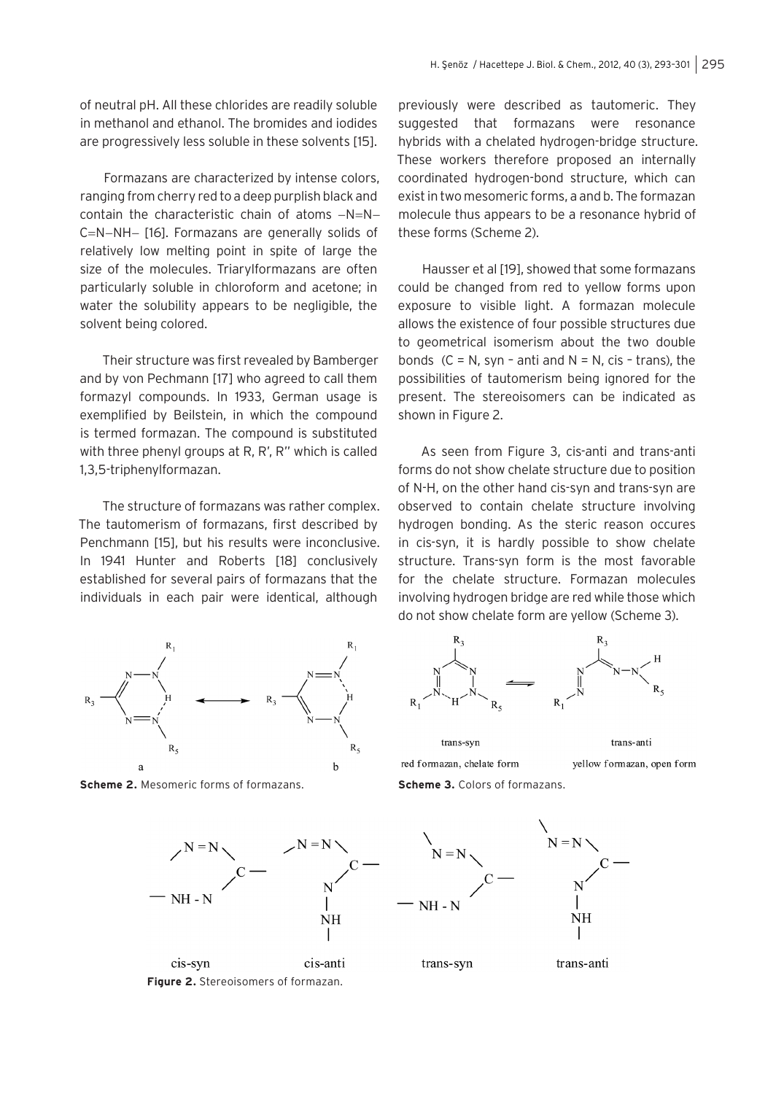of neutral pH. All these chlorides are readily soluble in methanol and ethanol. The bromides and iodides are progressively less soluble in these solvents [15].

Formazans are characterized by intense colors, ranging from cherry red to a deep purplish black and contain the characteristic chain of atoms  $-N=N-$ C=N-NH- [16]. Formazans are generally solids of relatively low melting point in spite of large the size of the molecules. Triarylformazans are often particularly soluble in chloroform and acetone; in water the solubility appears to be negligible, the solvent being colored.

Their structure was first revealed by Bamberger and by von Pechmann [17] who agreed to call them formazyl compounds. In 1933, German usage is exemplified by Beilstein, in which the compound is termed formazan. The compound is substituted with three phenyl groups at R, R', R" which is called 1,3,5-triphenylformazan.

The structure of formazans was rather complex. The tautomerism of formazans, first described by Penchmann [15], but his results were inconclusive. In 1941 Hunter and Roberts [18] conclusively established for several pairs of formazans that the individuals in each pair were identical, although



**Scheme 2.** Mesomeric forms of formazans.

previously were described as tautomeric. They suggested that formazans were resonance hybrids with a chelated hydrogen-bridge structure. These workers therefore proposed an internally coordinated hydrogen-bond structure, which can exist in two mesomeric forms, a and b. The formazan molecule thus appears to be a resonance hybrid of these forms (Scheme 2).

Hausser et al [19], showed that some formazans could be changed from red to yellow forms upon exposure to visible light. A formazan molecule allows the existence of four possible structures due to geometrical isomerism about the two double bonds  $(C = N, syn - anti and N = N, cis - trans)$ , the possibilities of tautomerism being ignored for the present. The stereoisomers can be indicated as shown in Figure 2.

As seen from Figure 3, cis-anti and trans-anti forms do not show chelate structure due to position of N-H, on the other hand cis-syn and trans-syn are observed to contain chelate structure involving hydrogen bonding. As the steric reason occures in cis-syn, it is hardly possible to show chelate structure. Trans-syn form is the most favorable for the chelate structure. Formazan molecules involving hydrogen bridge are red while those which do not show chelate form are yellow (Scheme 3).



red formazan, chelate form

trans-syn

trans-anti

yellow formazan, open form

**Scheme 3.** Colors of formazans.



**Figure 2.** Stereoisomers of formazan.



trans-syn

trans-anti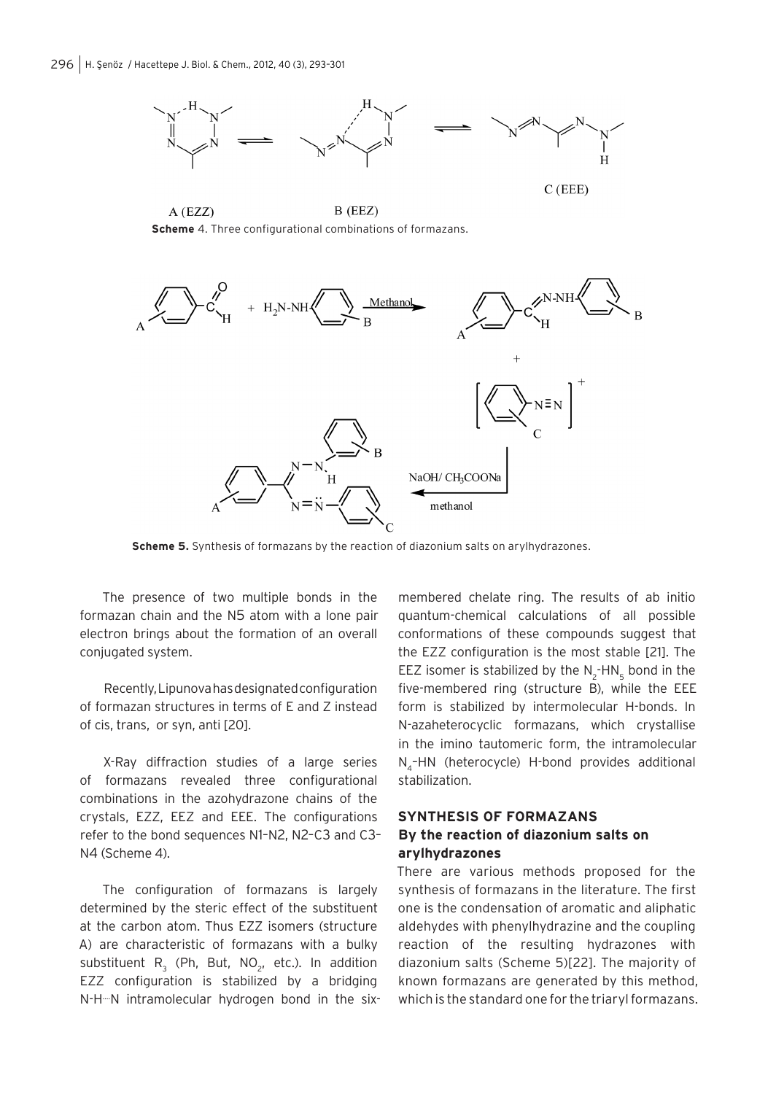

 $A$  (EZZ)  $B$  (EEZ) **Scheme** 4. Three configurational combinations of formazans.



**Scheme 5.** Synthesis of formazans by the reaction of diazonium salts on arylhydrazones.

The presence of two multiple bonds in the formazan chain and the N5 atom with a lone pair electron brings about the formation of an overall conjugated system.

Recently, Lipunova has designated configuration of formazan structures in terms of E and Z instead of cis, trans, or syn, anti [20].

X-Ray diffraction studies of a large series of formazans revealed three configurational combinations in the azohydrazone chains of the crystals, EZZ, EEZ and EEE. The configurations refer to the bond sequences N1–N2, N2–C3 and C3– N4 (Scheme 4).

The configuration of formazans is largely determined by the steric effect of the substituent at the carbon atom. Thus EZZ isomers (structure A) are characteristic of formazans with a bulky substituent  $R_3$  (Ph, But, NO<sub>2</sub>, etc.). In addition EZZ configuration is stabilized by a bridging N-H…N intramolecular hydrogen bond in the six-

membered chelate ring. The results of ab initio quantum-chemical calculations of all possible conformations of these compounds suggest that the EZZ configuration is the most stable [21]. The EEZ isomer is stabilized by the  $N_2$ -HN<sub>5</sub> bond in the five-membered ring (structure B), while the EEE form is stabilized by intermolecular H-bonds. In N-azaheterocyclic formazans, which crystallise in the imino tautomeric form, the intramolecular N<sub>4</sub>-HN (heterocycle) H-bond provides additional stabilization.

## **SYNTHESIS OF FORMAZANS By the reaction of diazonium salts on arylhydrazones**

There are various methods proposed for the synthesis of formazans in the literature. The first one is the condensation of aromatic and aliphatic aldehydes with phenylhydrazine and the coupling reaction of the resulting hydrazones with diazonium salts (Scheme 5)[22]. The majority of known formazans are generated by this method, which is the standard one for the triaryl formazans.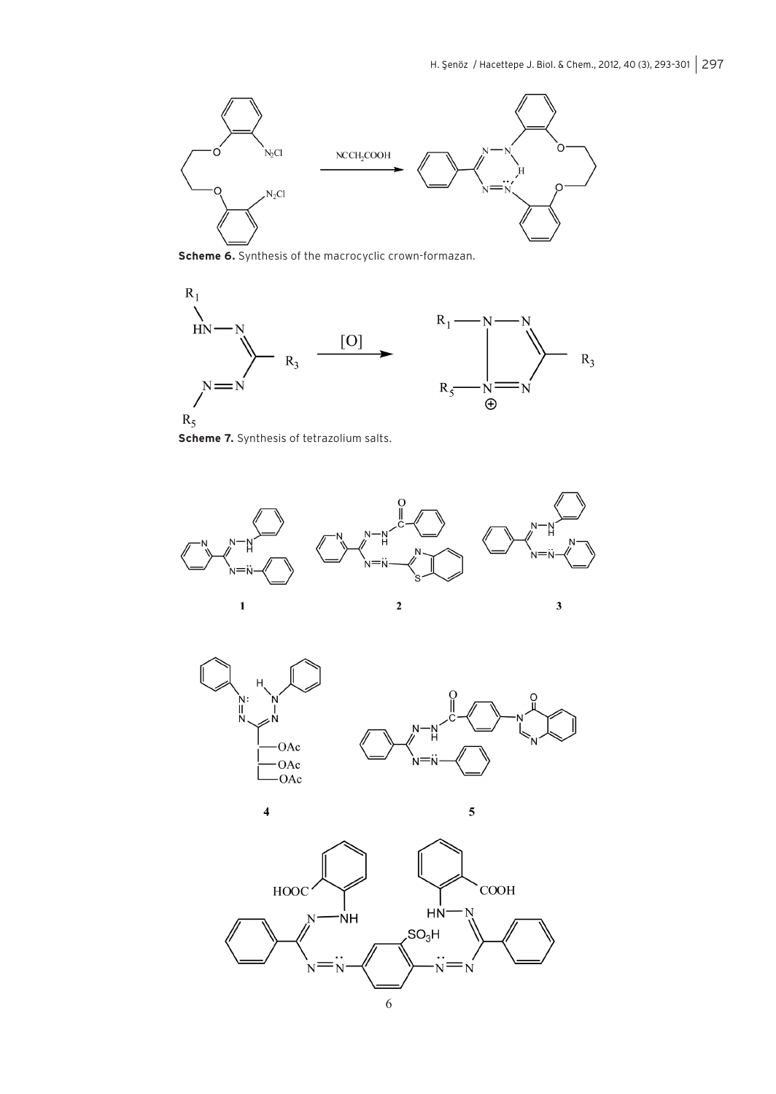

**Scheme 6.** Synthesis of the macrocyclic crown-formazan.



**Scheme 7.** Synthesis of tetrazolium salts.









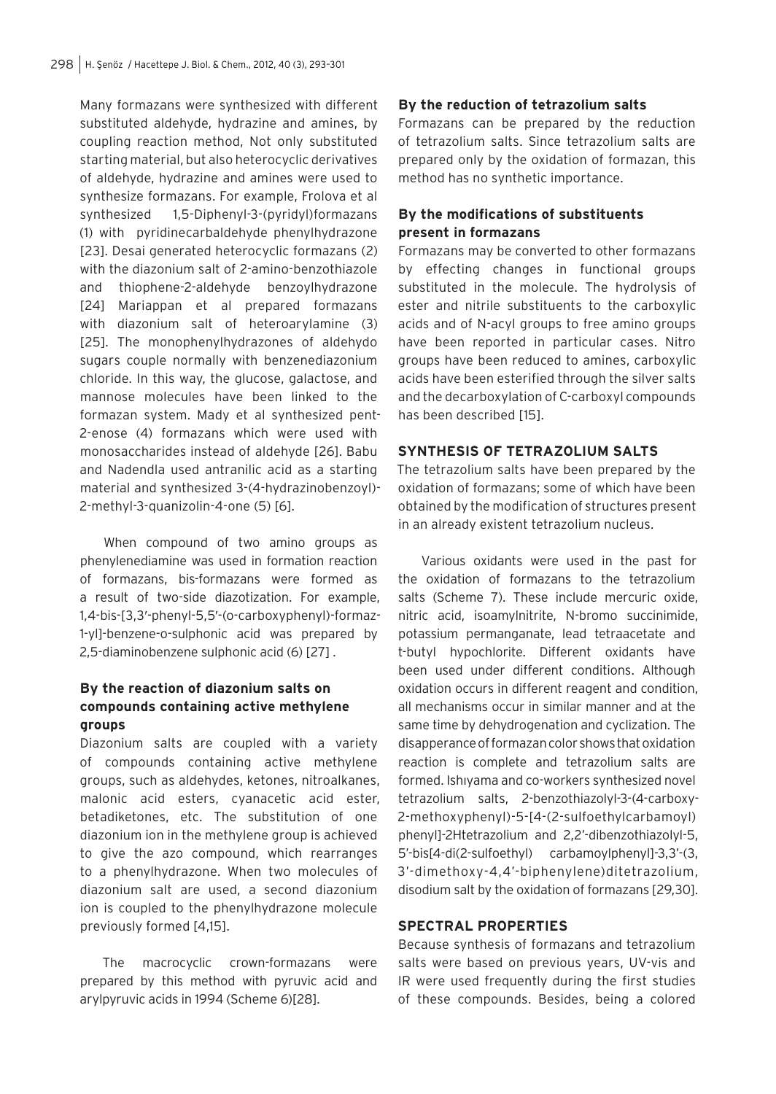Many formazans were synthesized with different substituted aldehyde, hydrazine and amines, by coupling reaction method, Not only substituted starting material, but also heterocyclic derivatives of aldehyde, hydrazine and amines were used to synthesize formazans. For example, Frolova et al synthesized 1,5-Diphenyl-3-(pyridyl)formazans (1) with pyridinecarbaldehyde phenylhydrazone [23]. Desai generated heterocyclic formazans (2) with the diazonium salt of 2-amino-benzothiazole and thiophene-2-aldehyde benzoylhydrazone [24] Mariappan et al prepared formazans with diazonium salt of heteroarylamine (3) [25]. The monophenylhydrazones of aldehydo sugars couple normally with benzenediazonium chloride. In this way, the glucose, galactose, and mannose molecules have been linked to the formazan system. Mady et al synthesized pent-2-enose (4) formazans which were used with monosaccharides instead of aldehyde [26]. Babu and Nadendla used antranilic acid as a starting material and synthesized 3-(4-hydrazinobenzoyl)- 2-methyl-3-quanizolin-4-one (5) [6].

When compound of two amino groups as phenylenediamine was used in formation reaction of formazans, bis-formazans were formed as a result of two-side diazotization. For example, 1,4-bis-[3,3′-phenyl-5,5′-(o-carboxyphenyl)-formaz-1-yl]-benzene-o-sulphonic acid was prepared by 2,5-diaminobenzene sulphonic acid (6) [27] .

## **By the reaction of diazonium salts on compounds containing active methylene groups**

Diazonium salts are coupled with a variety of compounds containing active methylene groups, such as aldehydes, ketones, nitroalkanes, malonic acid esters, cyanacetic acid ester, betadiketones, etc. The substitution of one diazonium ion in the methylene group is achieved to give the azo compound, which rearranges to a phenylhydrazone. When two molecules of diazonium salt are used, a second diazonium ion is coupled to the phenylhydrazone molecule previously formed [4,15].

The macrocyclic crown-formazans were prepared by this method with pyruvic acid and arylpyruvic acids in 1994 (Scheme 6)[28].

#### **By the reduction of tetrazolium salts**

Formazans can be prepared by the reduction of tetrazolium salts. Since tetrazolium salts are prepared only by the oxidation of formazan, this method has no synthetic importance.

## **By the modifications of substituents present in formazans**

Formazans may be converted to other formazans by effecting changes in functional groups substituted in the molecule. The hydrolysis of ester and nitrile substituents to the carboxylic acids and of N-acyl groups to free amino groups have been reported in particular cases. Nitro groups have been reduced to amines, carboxylic acids have been esterified through the silver salts and the decarboxylation of C-carboxyl compounds has been described [15].

#### **SYNTHESIS OF TETRAZOLIUM SALTS**

The tetrazolium salts have been prepared by the oxidation of formazans; some of which have been obtained by the modification of structures present in an already existent tetrazolium nucleus.

Various oxidants were used in the past for the oxidation of formazans to the tetrazolium salts (Scheme 7). These include mercuric oxide, nitric acid, isoamylnitrite, N-bromo succinimide, potassium permanganate, lead tetraacetate and t-butyl hypochlorite. Different oxidants have been used under different conditions. Although oxidation occurs in different reagent and condition, all mechanisms occur in similar manner and at the same time by dehydrogenation and cyclization. The disapperance of formazan color shows that oxidation reaction is complete and tetrazolium salts are formed. Ishıyama and co-workers synthesized novel tetrazolium salts, 2-benzothiazolyl-3-(4-carboxy-2-methoxyphenyl)-5-[4-(2-sulfoethylcarbamoyl) phenyl]-2Htetrazolium and 2,2'-dibenzothiazolyl-5, 5'-bis[4-di(2-sulfoethyl) carbamoylphenyl]-3,3'-(3, 3'-dimethoxy-4,4'-biphenylene)ditetrazolium, disodium salt by the oxidation of formazans [29,30].

## **SPECTRAL PROPERTIES**

Because synthesis of formazans and tetrazolium salts were based on previous years, UV-vis and IR were used frequently during the first studies of these compounds. Besides, being a colored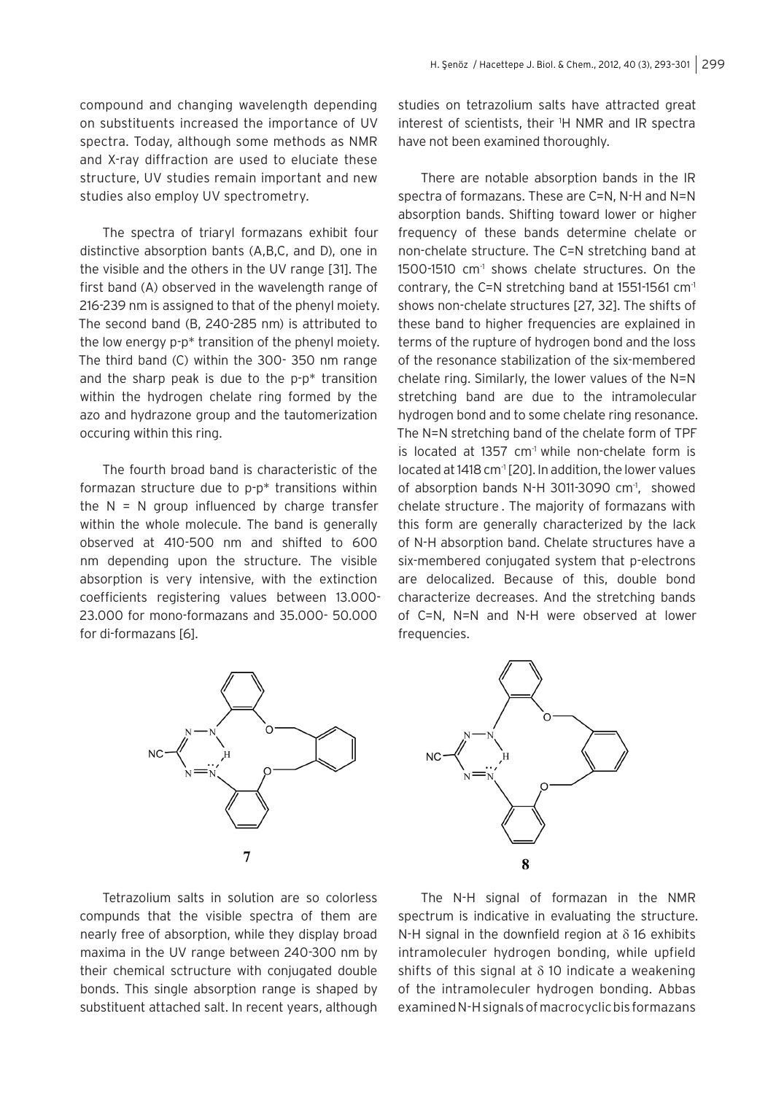compound and changing wavelength depending on substituents increased the importance of UV spectra. Today, although some methods as NMR and X-ray diffraction are used to eluciate these structure, UV studies remain important and new studies also employ UV spectrometry.

The spectra of triaryl formazans exhibit four distinctive absorption bants (A,B,C, and D), one in the visible and the others in the UV range [31]. The first band (A) observed in the wavelength range of 216-239 nm is assigned to that of the phenyl moiety. The second band (B, 240-285 nm) is attributed to the low energy p-p\* transition of the phenyl moiety. The third band (C) within the 300- 350 nm range and the sharp peak is due to the p-p\* transition within the hydrogen chelate ring formed by the azo and hydrazone group and the tautomerization occuring within this ring.

The fourth broad band is characteristic of the formazan structure due to p-p\* transitions within the  $N = N$  group influenced by charge transfer within the whole molecule. The band is generally observed at 410-500 nm and shifted to 600 nm depending upon the structure. The visible absorption is very intensive, with the extinction coefficients registering values between 13.000- 23.000 for mono-formazans and 35.000- 50.000 for di-formazans [6].

 $\overline{7}$ 

studies on tetrazolium salts have attracted great interest of scientists, their 1 H NMR and IR spectra have not been examined thoroughly.

There are notable absorption bands in the IR spectra of formazans. These are C=N, N-H and N=N absorption bands. Shifting toward lower or higher frequency of these bands determine chelate or non-chelate structure. The C=N stretching band at 1500-1510 cm<sup>-1</sup> shows chelate structures. On the contrary, the C=N stretching band at  $1551-1561$  cm<sup>-1</sup> shows non-chelate structures [27, 32]. The shifts of these band to higher frequencies are explained in terms of the rupture of hydrogen bond and the loss of the resonance stabilization of the six-membered chelate ring. Similarly, the lower values of the N=N stretching band are due to the intramolecular hydrogen bond and to some chelate ring resonance. The N=N stretching band of the chelate form of TPF is located at 1357  $cm<sup>-1</sup>$  while non-chelate form is located at 1418 cm<sup>-1</sup> [20]. In addition, the lower values of absorption bands N-H 3011-3090  $cm<sup>-1</sup>$ , showed chelate structure . The majority of formazans with this form are generally characterized by the lack of N-H absorption band. Chelate structures have a six-membered conjugated system that p-electrons are delocalized. Because of this, double bond characterize decreases. And the stretching bands of C=N, N=N and N-H were observed at lower frequencies.



Tetrazolium salts in solution are so colorless compunds that the visible spectra of them are nearly free of absorption, while they display broad maxima in the UV range between 240-300 nm by their chemical sctructure with conjugated double bonds. This single absorption range is shaped by substituent attached salt. In recent years, although

The N-H signal of formazan in the NMR spectrum is indicative in evaluating the structure. N-H signal in the downfield region at  $\delta$  16 exhibits intramoleculer hydrogen bonding, while upfield shifts of this signal at  $\delta$  10 indicate a weakening of the intramoleculer hydrogen bonding. Abbas examined N-H signals of macrocyclic bis formazans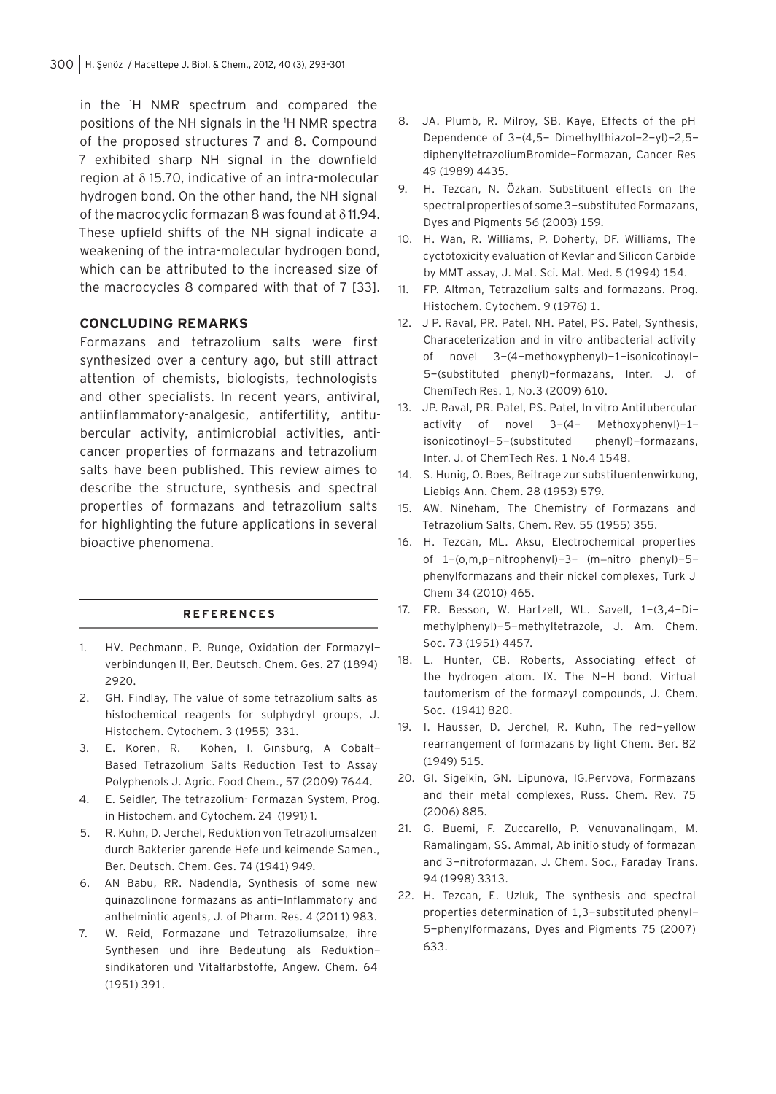in the 1 H NMR spectrum and compared the positions of the NH signals in the 1 H NMR spectra of the proposed structures 7 and 8. Compound 7 exhibited sharp NH signal in the downfield region at δ 15.70, indicative of an intra-molecular hydrogen bond. On the other hand, the NH signal of the macrocyclic formazan 8 was found at δ 11.94. These upfield shifts of the NH signal indicate a weakening of the intra-molecular hydrogen bond, which can be attributed to the increased size of the macrocycles 8 compared with that of 7 [33].

#### **CONCLUDING REMARKS**

Formazans and tetrazolium salts were first synthesized over a century ago, but still attract attention of chemists, biologists, technologists and other specialists. In recent years, antiviral, antiinflammatory-analgesic, antifertility, antitubercular activity, antimicrobial activities, anticancer properties of formazans and tetrazolium salts have been published. This review aimes to describe the structure, synthesis and spectral properties of formazans and tetrazolium salts for highlighting the future applications in several bioactive phenomena.

#### **R E F E R E N C E S**

- 1. HV. Pechmann, P. Runge, Oxidation der Formazylverbindungen II, Ber. Deutsch. Chem. Ges. 27 (1894) 2920.
- 2. GH. Findlay, The value of some tetrazolium salts as histochemical reagents for sulphydryl groups, J. Histochem. Cytochem. 3 (1955) 331.
- 3. E. Koren, R. Kohen, I. Gınsburg, A Cobalt-Based Tetrazolium Salts Reduction Test to Assay Polyphenols J. Agric. Food Chem., 57 (2009) 7644.
- 4. E. Seidler, The tetrazolium- Formazan System, Prog. in Histochem. and Cytochem. 24 (1991) 1.
- 5. R. Kuhn, D. Jerchel, Reduktion von Tetrazoliumsalzen durch Bakterier garende Hefe und keimende Samen., Ber. Deutsch. Chem. Ges. 74 (1941) 949.
- 6. AN Babu, RR. Nadendla, Synthesis of some new quinazolinone formazans as anti-Inflammatory and anthelmintic agents, J. of Pharm. Res. 4 (2011) 983.
- 7. W. Reid, Formazane und Tetrazoliumsalze, ihre Synthesen und ihre Bedeutung als Reduktionsindikatoren und Vitalfarbstoffe, Angew. Chem. 64 (1951) 391.
- 8. JA. Plumb, R. Milroy, SB. Kaye, Effects of the pH Dependence of 3-(4,5- Dimethylthiazol-2-yl)-2,5 diphenyltetrazoliumBromide-Formazan, Cancer Res 49 (1989) 4435.
- 9. H. Tezcan, N. Özkan, Substituent effects on the spectral properties of some 3-substituted Formazans, Dyes and Pigments 56 (2003) 159.
- 10. H. Wan, R. Williams, P. Doherty, DF. Williams, The cyctotoxicity evaluation of Kevlar and Silicon Carbide by MMT assay, J. Mat. Sci. Mat. Med. 5 (1994) 154.
- 11. FP. Altman, Tetrazolium salts and formazans. Prog. Histochem. Cytochem. 9 (1976) 1.
- 12. J P. Raval, PR. Patel, NH. Patel, PS. Patel, Synthesis, Characeterization and in vitro antibacterial activity of novel 3-(4-methoxyphenyl)-1-isonicotinoyl-5-(substituted phenyl)-formazans, Inter. J. of ChemTech Res. 1, No.3 (2009) 610.
- 13. JP. Raval, PR. Patel, PS. Patel, In vitro Antitubercular activity of novel 3-(4- Methoxyphenyl)-1 isonicotinoyl-5-(substituted phenyl)-formazans, Inter. J. of ChemTech Res. 1 No.4 1548.
- 14. S. Hunig, O. Boes, Beitrage zur substituentenwirkung, Liebigs Ann. Chem. 28 (1953) 579.
- 15. AW. Nineham, The Chemistry of Formazans and Tetrazolium Salts, Chem. Rev. 55 (1955) 355.
- 16. H. Tezcan, ML. Aksu, Electrochemical properties of 1-(o,m,p-nitrophenyl)-3- (m−nitro phenyl)-5 phenylformazans and their nickel complexes, Turk J Chem 34 (2010) 465.
- 17. FR. Besson, W. Hartzell, WL. Savell, 1-(3,4-Dimethylphenyl)-5-methyltetrazole, J. Am. Chem. Soc. 73 (1951) 4457.
- 18. L. Hunter, CB. Roberts, Associating effect of the hydrogen atom. IX. The N-H bond. Virtual tautomerism of the formazyl compounds, J. Chem. Soc. (1941) 820.
- 19. I. Hausser, D. Jerchel, R. Kuhn, The red-yellow rearrangement of formazans by light Chem. Ber. 82 (1949) 515.
- 20. GI. Sigeikin, GN. Lipunova, IG.Pervova, Formazans and their metal complexes, Russ. Chem. Rev. 75 (2006) 885.
- 21. G. Buemi, F. Zuccarello, P. Venuvanalingam, M. Ramalingam, SS. Ammal, Ab initio study of formazan and 3-nitroformazan, J. Chem. Soc., Faraday Trans. 94 (1998) 3313.
- 22. H. Tezcan, E. Uzluk, The synthesis and spectral properties determination of 1,3-substituted phenyl-5-phenylformazans, Dyes and Pigments 75 (2007) 633.